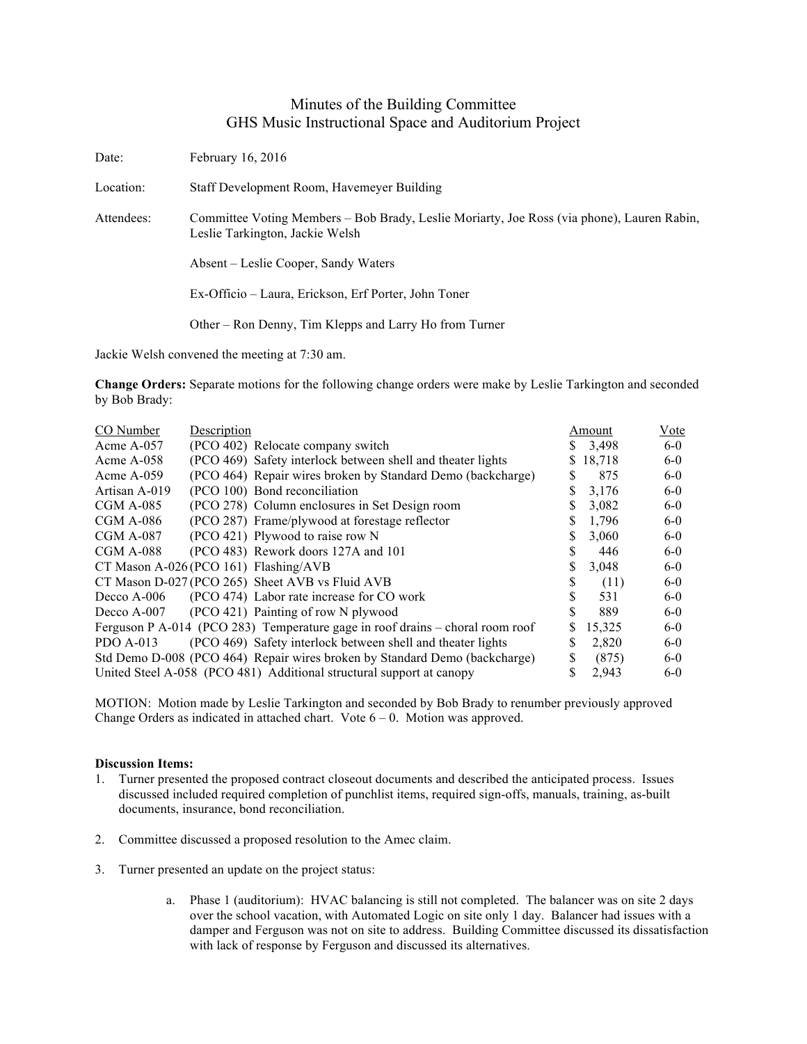## Minutes of the Building Committee GHS Music Instructional Space and Auditorium Project

| Date:      | February 16, 2016                                                                                                             |
|------------|-------------------------------------------------------------------------------------------------------------------------------|
| Location:  | Staff Development Room, Havemeyer Building                                                                                    |
| Attendees: | Committee Voting Members – Bob Brady, Leslie Moriarty, Joe Ross (via phone), Lauren Rabin,<br>Leslie Tarkington, Jackie Welsh |
|            | Absent – Leslie Cooper, Sandy Waters                                                                                          |
|            | Ex-Officio – Laura, Erickson, Erf Porter, John Toner                                                                          |
|            | Other – Ron Denny, Tim Klepps and Larry Ho from Turner                                                                        |

Jackie Welsh convened the meeting at 7:30 am.

**Change Orders:** Separate motions for the following change orders were make by Leslie Tarkington and seconded by Bob Brady:

| CO Number     | Description                                                                   |    | Amount | <b>V</b> ote |
|---------------|-------------------------------------------------------------------------------|----|--------|--------------|
| Acme $A-057$  | (PCO 402) Relocate company switch                                             |    | 3,498  | $6-0$        |
| Acme $A-058$  | (PCO 469) Safety interlock between shell and theater lights                   |    | 18,718 | $6-0$        |
| Acme $A-059$  | (PCO 464) Repair wires broken by Standard Demo (backcharge)                   | S  | 875    | $6-0$        |
| Artisan A-019 | (PCO 100) Bond reconciliation                                                 | \$ | 3,176  | $6-0$        |
| $CGM A-085$   | (PCO 278) Column enclosures in Set Design room                                |    | 3,082  | $6-0$        |
| $CGM A-086$   | (PCO 287) Frame/plywood at forestage reflector                                |    | 1,796  | $6-0$        |
| $CGM A-087$   | (PCO 421) Plywood to raise row N                                              |    | 3,060  | $6-0$        |
| $CGM A-088$   | (PCO 483) Rework doors 127A and 101                                           |    | 446    | $6-0$        |
|               | CT Mason A-026 (PCO 161) Flashing/AVB                                         |    | 3,048  | $6-0$        |
|               | CT Mason D-027 (PCO 265) Sheet AVB vs Fluid AVB                               | S  | (11)   | $6-0$        |
| Decco A-006   | (PCO 474) Labor rate increase for CO work                                     |    | 531    | $6-0$        |
| Decco A-007   | (PCO 421) Painting of row N plywood                                           |    | 889    | $6-0$        |
|               | Ferguson P A-014 (PCO 283) Temperature gage in roof drains – choral room roof | S  | 15,325 | $6-0$        |
| PDO $A-013$   | (PCO 469) Safety interlock between shell and theater lights                   |    | 2,820  | $6-0$        |
|               | Std Demo D-008 (PCO 464) Repair wires broken by Standard Demo (backcharge)    | \$ | (875)  | $6-0$        |
|               | United Steel A-058 (PCO 481) Additional structural support at canopy          |    | 2,943  | $6-0$        |

MOTION: Motion made by Leslie Tarkington and seconded by Bob Brady to renumber previously approved Change Orders as indicated in attached chart. Vote 6 – 0. Motion was approved.

## **Discussion Items:**

- 1. Turner presented the proposed contract closeout documents and described the anticipated process. Issues discussed included required completion of punchlist items, required sign-offs, manuals, training, as-built documents, insurance, bond reconciliation.
- 2. Committee discussed a proposed resolution to the Amec claim.
- 3. Turner presented an update on the project status:
	- a. Phase 1 (auditorium): HVAC balancing is still not completed. The balancer was on site 2 days over the school vacation, with Automated Logic on site only 1 day. Balancer had issues with a damper and Ferguson was not on site to address. Building Committee discussed its dissatisfaction with lack of response by Ferguson and discussed its alternatives.